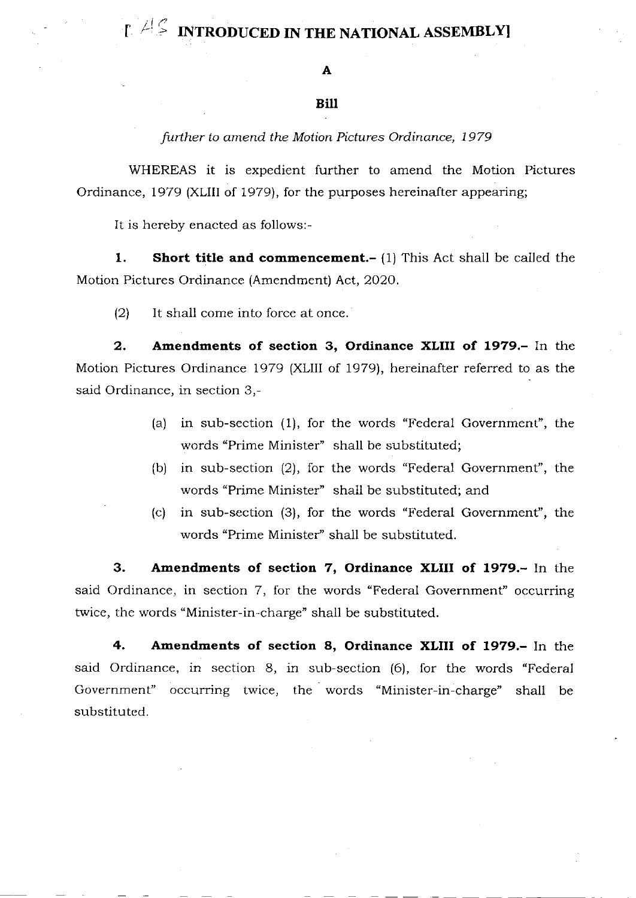# $\mathbb{E}$   $\mathbb{E}$  INTRODUCED IN THE NATIONAL ASSEMBLY

### Bill

further to amend the Motion Pictures Ordinance, 1979

WHEREAS it is expedient further to amend the Motion Pictures Ordinance, 1979 (XLIII of 1979), for the purposes hereinafter appearing;

It is hereby enacted as follows:-

1. Short title and commencement.- (1) This Act shall be called the Molion Pictures Ordinance (Amendment) Act, 2O2O.

 $(2)$  It shall come into force at once.

2. Amendments of section 3, Ordinance XLIII of 1979.- In the Motion Pictures Ordinance 1979 (XLIII of 1979), hereinafter referred to as the said Ordinance, in section 3,-

- (a) in sub-section (1), for the words "Federal Government", the words "Prime Minister" shall be substituted;
- (b) in sub-section (2), for the words "Federal Government", the words "Prime Minister" shall be substituted; and
- (c) in sub-section (3), for the words "Federal Government'', the words "Prime Minister'' shall be substituted.

3. Amendments of section 7, Ordinance XLIII of 1979.- In the said Ordinance, in section 7, for the words "Federal Government" occurring twice, the words "Minister-in-charge" shall be substituted.

4. Amendments of section 8, Ordinance XLIII of 1979.- In the said Ordinance, in section 8, in sub-section (6), for the words "Federal Government" occurring twice, the words "Minister-in-charge" shall be substituted.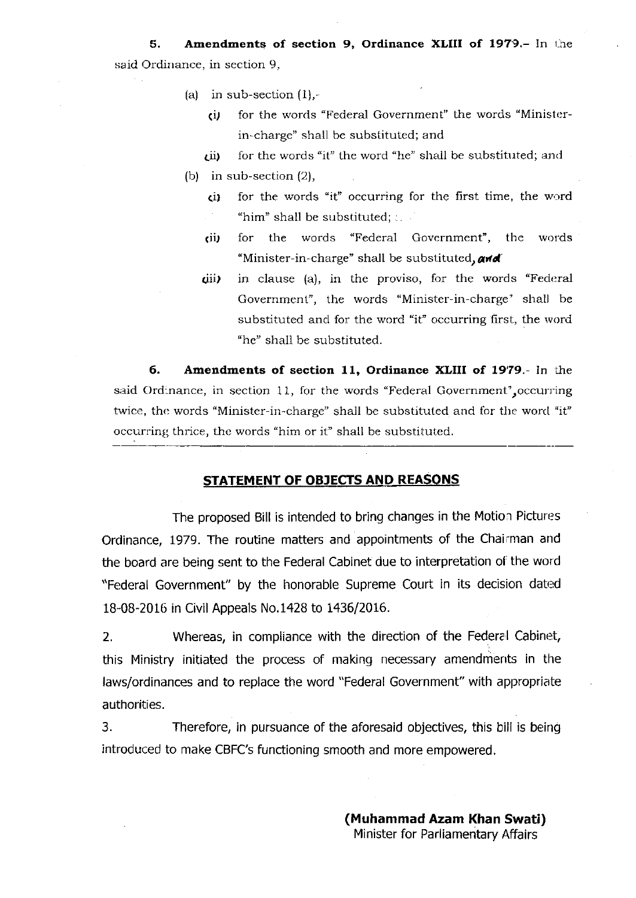5. Amendments of section 9, Ordinance XLIII of 1979.- In the said Ordinance, in section 9,

- (a) in sub-section  $(1)$ ,-
	- $(i)$  for the words "Federal Government" the words "Ministerin-charge" shall be substituted; and
	- $(i)$  for the words "it" the word "he" shall be substituted; and
- (b) in sub-section  $(2)$ ,
	- $(i)$  for the words "it" occurring for the first time, the word "him" shall be substituted;  $\therefore$
	- (ii, for the words "Federal Government", the words "Minister-in-charge" shall be substituted, and
	- $(iii)$  in clause (a), in the proviso, for the words "Federal Government", the words "Minister-in-charge' shall be substituted and for the word "it" occurring first, the word "he" shall be substituted.

6. Anendrnents of section 11, Ordinance XLIII of 19'79.- In the said Ordinance, in section 11, for the words "Federal Government', occurring twice, the words "Minister-in-charge" shall be substituted and for the word "it" occurring thrice, the words "him or it" shall be substituted.

#### STATEMENT OF OBJECTS AND REASONS

The proposed Bill is intended to bring changes in the Motion Pictures Ordinance, 1979. The routine matters and appointments of the Chairman and the board are being sent to the Federal Cabinet due to interpretation of' the word "Federal Government" by the honorable Supreme Court in its decision dated 18-08-2016 in Civil Appeals No.1428 to 1436/2016.

2. Whereas, in compliance with the direction of the Federal Cabinet, this Ministry initiated the process of making necessary amendments in the laws/ordinances and to replace the word "Federal Government" with appropriate authorities.

3. Therefore, in pursuance of the aforesaid objectives, this bill is being introduced to make CBFC's functioning smooth and more empowered.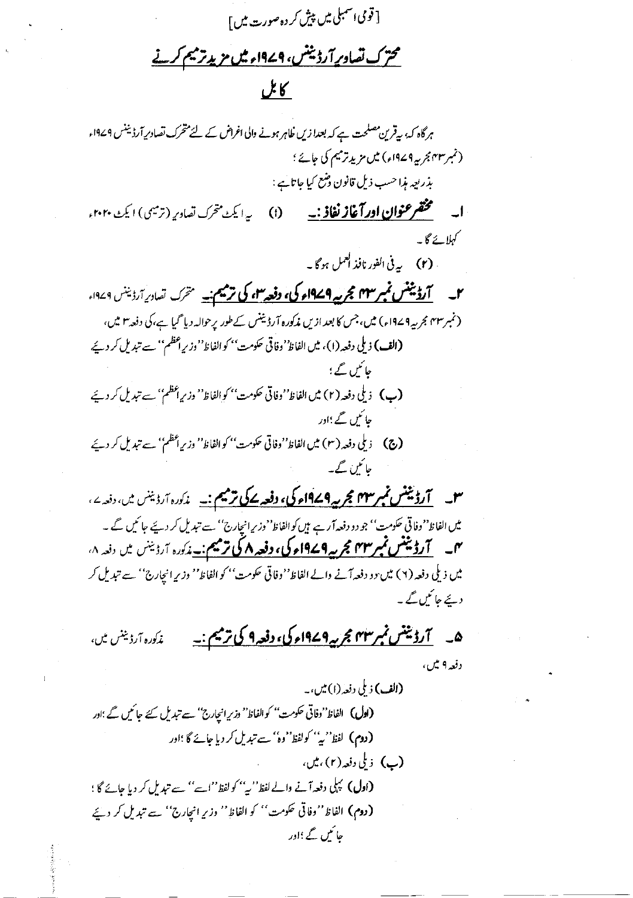[ قومی اسمبلی میں پیش کر دہ صورت میں ] محترک تصادیر آرڈینٹس، 1<u>949ء میں مزید ترمیم کرنے</u>

## كابل

ہرگاہ کہ، بیقرین مصلحت ہے کہ بعدا زیں ظاہر ہونے والی اغراض کے لئے متحرک تصادیر آرڈیننس ۱۹۷۹ء (نمبر۳۳ بجربه ۱۹۷۹ء) میں مزید ترمیم کی جائے ؛ بذريعه مذا حسب ذيل قانون وضع كيا جاتائبه : **ا۔ گچھرعنوان اور آغاز نفاذ :۔ (**i) پرایکٹ متحرک تصادیر (ترمیمی) ایکٹ ۲۰۲۰ء کہلائے گا۔ . (٢) \_ به في الفور نافذ العمل ہو گا ۔ (نمبر ۳۳ مجر بیہ ۱۹۷۹ء) میں، جس کا بعد ازیں مذکورہ آرڈینس کے طور پر حوالہ دیا گیا ہے،کی دفعہ ۳ میں، (الف) ذيلي دفعه (١)، ميں الفاظ' وفاقي حكومت'' كو الفاظ' وزير اعظم'' ہے تبديل كر ديئے حائمں گے ؛ (پ) ذيلي دفعه (٢) ميں الفاظ''وفاتي حكومت'' كو الفاظ'' وزير أعظم'' ہے تبديل كر دئيے جا ئىس گے ؛اور **(ج) ۔** ذیلی دفعہ (۳) میں الفاظ''وفاتی حکومت'' کو الفاظ'' وزیراعظم'' سے تبدیل کر دئے حائمن گے۔ **س \_ <del>آرڈینٹس نمبر ۱</del>۴۳ مجربہ ۱۹۷۹ء کی، دفعہ کے ترمیم :۔** مذکورہ آرڈینس میں، دفعہ <sup>ے</sup>، میں الفاظ''وفاتی حکومت'' جو دو دفعہ آرہے ہیں کوالفاظ''وزیرانچارج'' سے تبدیل کر دیئے جائیں گے ۔ میں <mark>آرڈیننس نمبر ۲۳ مجر یہ ۱۹۷۹ء کی، دفعہ ۸ کی ترمیم :۔</mark> مذکورہ آرڈینس میں دفعہ ۸،

میں ذیلی دفعہ (۲) میں دو دفعہ آنے والے الفاظ''وفاقی حکومت'' کو الفاظ'' وزیر انجارج'' سے تبدیل کر د نے جا ئیں گے ۔

۵\_ \_ <del>]رۇنينس نمبر ۱۴</del>۷ مجرىيە ۱۹۷۹ء کى، دفعہ ۹ کى ترميم : \_ غەكدە آرۋىيىس ئىر، دفعه ۹ تیل،

(الف) ذ ملي دفعه (١) ميں، به (اول) الفاظ''وفاتی حکومت'' کوالفاظ'' وزیر انیےارج'' سے تبدیل کئے جائیں گے ؛اور (دوم) لفظ''یہ'' کولفظ''وہ'' سے تبدیل کر دیا جائے گا ؛اور (پ) زىلى دفعه (٢) ، ميں ، **(اول)** کہلی دفعہ آنے والے لفظ''بی'' کو لفظ''اسے'' سے تہدیل کر دیا جائے گا ؛ (دوم) الفاظ''وفاتی حکومت'' کو الفاظ'' وزیرِ انچارج'' سے تبدیل کر دیئے جائمیں گے ؛اور